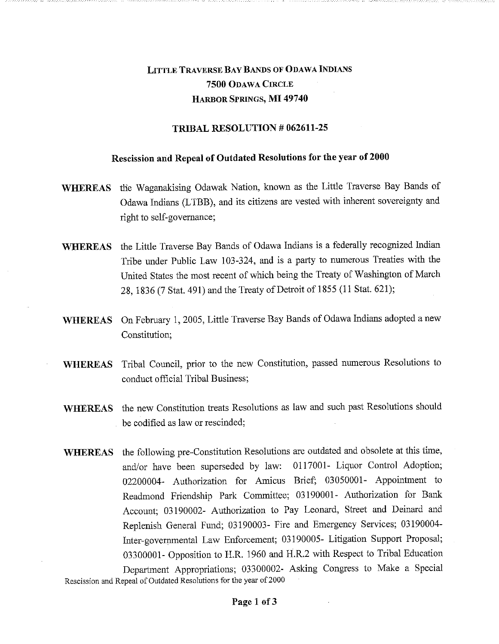## LITTLE TRAVERSE BAY BANDS OF ODAWA INDIANS 7500 ODAWA CIRCLE HARBOR SPRINGS, MI 49740

## TRIBAL RESOLUTION # 062611-25

## Rescission and Repeal of Outdated Resolutions for the year of 2000

- WHEREAS the Waganakising Odawak Nation, known as the Little Traverse Bay Bands of Odawa Indians (LTBB), and its citizens are vested with inherent sovereignty and right to self-governance;
- WHEREAS the Little Traverse Bay Bands of Odawa Indians is a federally recognized Indian Tribe under Public Law 103-324, and is a party to numerous Treaties with the United States the most recent of which being the Treaty of Washington of March 28, 1836 (7 Stat. 491) and the Treaty of Detroit of 1855 (11 Stat. 621);
- WHEREAS On February 1, 2005, Little Traverse Bay Bands of Odawa Indians adopted a new Constitution;
- WHEREAS Tribal Council, prior to the new Constitution, passed numerous Resolutions to conduct official Tribal Business;
- WHEREAS the new Constitution treats Resolutions as law and such past Resolutions should be codified as law or rescinded;
- WHEREAS the following pre-Constitution Resolutions are outdated and obsolete at this time, and/or have been superseded by law: 0117001- Liquor Control Adoption; 02200004- Authorization for Amicus Brief; 03050001- Appointment to Readmond Friendship Park Committee; 03190001- Authorization for Bank Account; 03190002- Authorization to Pay Leonard, Street and Deinard and Replenish General Fund; 03190003- Fire and Emergency Services; 03190004- Inter-governmental Law Enforcement; 03190005- Litigation Support Proposal; 03300001- Opposition to H.R. 1960 and H.R.2 with Respect to Tribal Education Department Appropriations; 03300002- Asking Congress to Make a Special

Rescission and Repeal of Outdated Resolutions for the year of 2000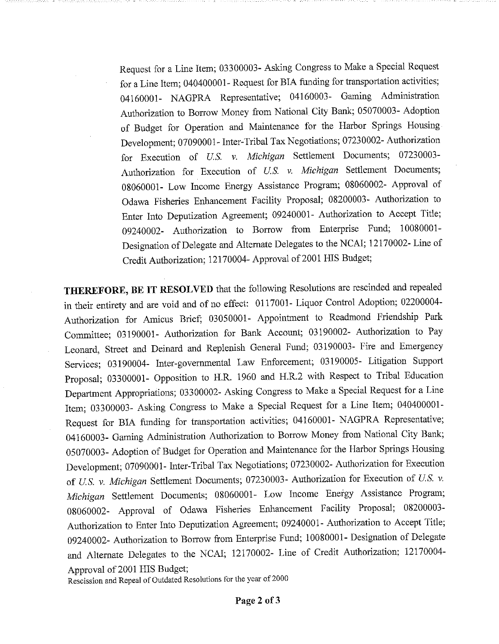Request for a Line Item; 03300003- Asking Congress to Make a Special Request for a Line Item; 040400001- Request for BIA funding for transportation activities; 04160001- NAGPRA Representative; 04160003- Gaming Administration Authorization to Borrow Money from National City Bank; 05070003- Adoption of Budget for Operation and Maintenance for the Harbor Springs Housing Development; 07090001- Inter-Tribal Tax Negotiations; 07230002- Authorization for Execution of *U.S.* v. *Michigan* Settlement Documents; 07230003- Authorization for Execution of *U.S.* v. *Michigan* Settlement Documents; 08060001- Low Income Energy Assistance Program; 08060002- Approval of Odawa Fisheries Enhancement Facility Proposal; 08200003- Authorization to Enter Into Deputization Agreement; 09240001- Authorization to Accept Title; 09240002- Authorization to Borrow from Enterprise Fund; 10080001- Designation of Delegate and Alternate Delegates to the NCAI; 12170002- Line of Credit Authorization; 12170004- Approval of 2001 HIS Budget;

THEREFORE, BE IT RESOLVED that the following Resolutions are rescinded and repealed in their entirety and are void and of no effect: 0117001- Liquor Control Adoption; 02200004- Authorization for Amicus Brief; 03050001- Appointment to Readmond Friendship Park Committee; 03190001- Authorization for Bank Account; 03190002- Authorization to Pay Leonard, Street and Deinard and Replenish General Fund; 03190003- Fire and Emergency Services; 03190004- Inter-governmental Law Enforcement; 03190005- Litigation Support Proposal; 03300001- Opposition to H.R. 1960 and H.R.2 with Respect to Tribal Education Department Appropriations; 03300002- Asking Congress to Make a Special Request for a Line Item; 03300003- Asking Congress to Make a Special Request for a Line Item; 040400001- Request for BIA funding for transportation activities; 04160001- NAGPRA Representative; 04160003- Gaming Administration Authorization to Borrow Money from National City Bank; 05070003- Adoption of Budget for Operation and Maintenance for the Harbor Springs Housing Development; 07090001- Inter-Tribal Tax Negotiations; 07230002- Authorization for Execution of *U.S. v. Michigan* Settlement Documents; 07230003- Authorization for Execution of *U.S. v. Michigan* Settlement Documents; 08060001- Low Income Energy Assistance Program; 08060002- Approval of Odawa Fisheries Enhancement Facility Proposal; 08200003- Authorization to Enter Into Deputization Agreement; 09240001- Authorization to Accept Title; 09240002- Authorization to Borrow from Enterprise Fund; 10080001- Designation of Delegate and Alternate Delegates to the NCAI; 12170002- Line of Credit Authorization; 12170004- Approval of 2001 HIS Budget;

Rescission and Repeal of Outdated Resolutions for the year of 2000